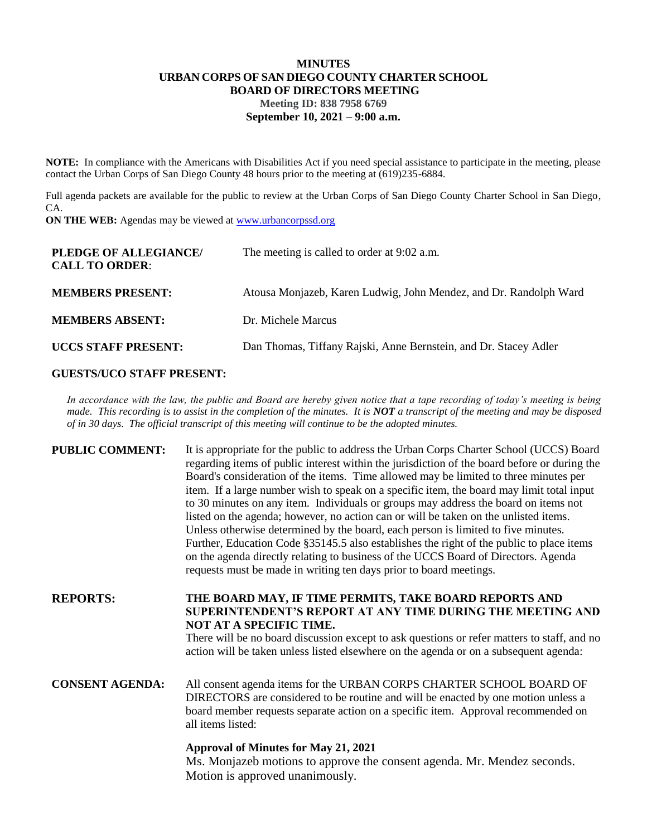### **MINUTES URBAN CORPS OF SAN DIEGO COUNTY CHARTER SCHOOL BOARD OF DIRECTORS MEETING Meeting ID: 838 7958 6769 September 10, 2021 – 9:00 a.m.**

**NOTE:** In compliance with the Americans with Disabilities Act if you need special assistance to participate in the meeting, please contact the Urban Corps of San Diego County 48 hours prior to the meeting at (619)235-6884.

Full agenda packets are available for the public to review at the Urban Corps of San Diego County Charter School in San Diego, CA.

**ON THE WEB:** Agendas may be viewed at **www.urbancorpssd.org** 

| PLEDGE OF ALLEGIANCE/<br><b>CALL TO ORDER:</b> | The meeting is called to order at 9:02 a.m.                       |
|------------------------------------------------|-------------------------------------------------------------------|
| <b>MEMBERS PRESENT:</b>                        | Atousa Monjazeb, Karen Ludwig, John Mendez, and Dr. Randolph Ward |
| <b>MEMBERS ABSENT:</b>                         | Dr. Michele Marcus                                                |
| <b>UCCS STAFF PRESENT:</b>                     | Dan Thomas, Tiffany Rajski, Anne Bernstein, and Dr. Stacey Adler  |

# **GUESTS/UCO STAFF PRESENT:**

*In accordance with the law, the public and Board are hereby given notice that a tape recording of today's meeting is being made. This recording is to assist in the completion of the minutes. It is NOT a transcript of the meeting and may be disposed of in 30 days. The official transcript of this meeting will continue to be the adopted minutes.*

| <b>PUBLIC COMMENT:</b> | It is appropriate for the public to address the Urban Corps Charter School (UCCS) Board      |
|------------------------|----------------------------------------------------------------------------------------------|
|                        | regarding items of public interest within the jurisdiction of the board before or during the |
|                        | Board's consideration of the items. Time allowed may be limited to three minutes per         |
|                        | item. If a large number wish to speak on a specific item, the board may limit total input    |
|                        | to 30 minutes on any item. Individuals or groups may address the board on items not          |
|                        | listed on the agenda; however, no action can or will be taken on the unlisted items.         |
|                        | Unless otherwise determined by the board, each person is limited to five minutes.            |
|                        | Further, Education Code §35145.5 also establishes the right of the public to place items     |
|                        | on the agenda directly relating to business of the UCCS Board of Directors. Agenda           |
|                        | requests must be made in writing ten days prior to board meetings.                           |

**REPORTS: THE BOARD MAY, IF TIME PERMITS, TAKE BOARD REPORTS AND SUPERINTENDENT'S REPORT AT ANY TIME DURING THE MEETING AND NOT AT A SPECIFIC TIME.**

> There will be no board discussion except to ask questions or refer matters to staff, and no action will be taken unless listed elsewhere on the agenda or on a subsequent agenda:

**CONSENT AGENDA:** All consent agenda items for the URBAN CORPS CHARTER SCHOOL BOARD OF DIRECTORS are considered to be routine and will be enacted by one motion unless a board member requests separate action on a specific item. Approval recommended on all items listed:

### **Approval of Minutes for May 21, 2021**

Ms. Monjazeb motions to approve the consent agenda. Mr. Mendez seconds. Motion is approved unanimously.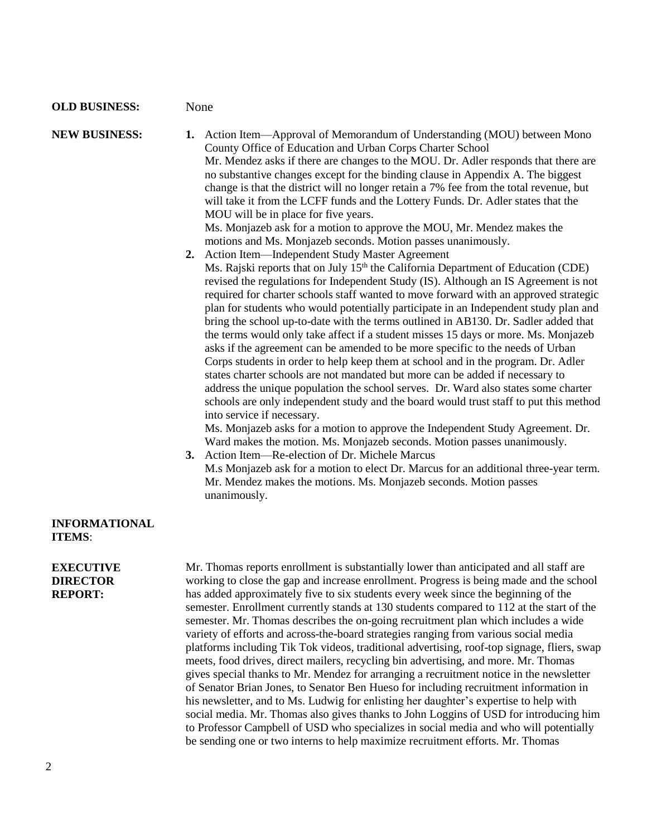#### **OLD BUSINESS:** None

# **NEW BUSINESS: 1.** Action Item—Approval of Memorandum of Understanding (MOU) between Mono County Office of Education and Urban Corps Charter School Mr. Mendez asks if there are changes to the MOU. Dr. Adler responds that there are no substantive changes except for the binding clause in Appendix A. The biggest change is that the district will no longer retain a 7% fee from the total revenue, but will take it from the LCFF funds and the Lottery Funds. Dr. Adler states that the MOU will be in place for five years. Ms. Monjazeb ask for a motion to approve the MOU, Mr. Mendez makes the motions and Ms. Monjazeb seconds. Motion passes unanimously.

**2.** Action Item—Independent Study Master Agreement Ms. Rajski reports that on July  $15<sup>th</sup>$  the California Department of Education (CDE) revised the regulations for Independent Study (IS). Although an IS Agreement is not required for charter schools staff wanted to move forward with an approved strategic plan for students who would potentially participate in an Independent study plan and bring the school up-to-date with the terms outlined in AB130. Dr. Sadler added that the terms would only take affect if a student misses 15 days or more. Ms. Monjazeb asks if the agreement can be amended to be more specific to the needs of Urban Corps students in order to help keep them at school and in the program. Dr. Adler states charter schools are not mandated but more can be added if necessary to address the unique population the school serves. Dr. Ward also states some charter schools are only independent study and the board would trust staff to put this method into service if necessary.

Ms. Monjazeb asks for a motion to approve the Independent Study Agreement. Dr. Ward makes the motion. Ms. Monjazeb seconds. Motion passes unanimously.

**3.** Action Item—Re-election of Dr. Michele Marcus M.s Monjazeb ask for a motion to elect Dr. Marcus for an additional three-year term. Mr. Mendez makes the motions. Ms. Monjazeb seconds. Motion passes unanimously.

### **INFORMATIONAL ITEMS**:

### **EXECUTIVE DIRECTOR REPORT:**

| Mr. Thomas reports enrollment is substantially lower than anticipated and all staff are     |
|---------------------------------------------------------------------------------------------|
| working to close the gap and increase enrollment. Progress is being made and the school     |
| has added approximately five to six students every week since the beginning of the          |
| semester. Enrollment currently stands at 130 students compared to 112 at the start of the   |
| semester. Mr. Thomas describes the on-going recruitment plan which includes a wide          |
| variety of efforts and across-the-board strategies ranging from various social media        |
| platforms including Tik Tok videos, traditional advertising, roof-top signage, fliers, swap |
| meets, food drives, direct mailers, recycling bin advertising, and more. Mr. Thomas         |
| gives special thanks to Mr. Mendez for arranging a recruitment notice in the newsletter     |
| of Senator Brian Jones, to Senator Ben Hueso for including recruitment information in       |
| his newsletter, and to Ms. Ludwig for enlisting her daughter's expertise to help with       |
| social media. Mr. Thomas also gives thanks to John Loggins of USD for introducing him       |
| to Professor Campbell of USD who specializes in social media and who will potentially       |
| be sending one or two interns to help maximize recruitment efforts. Mr. Thomas              |